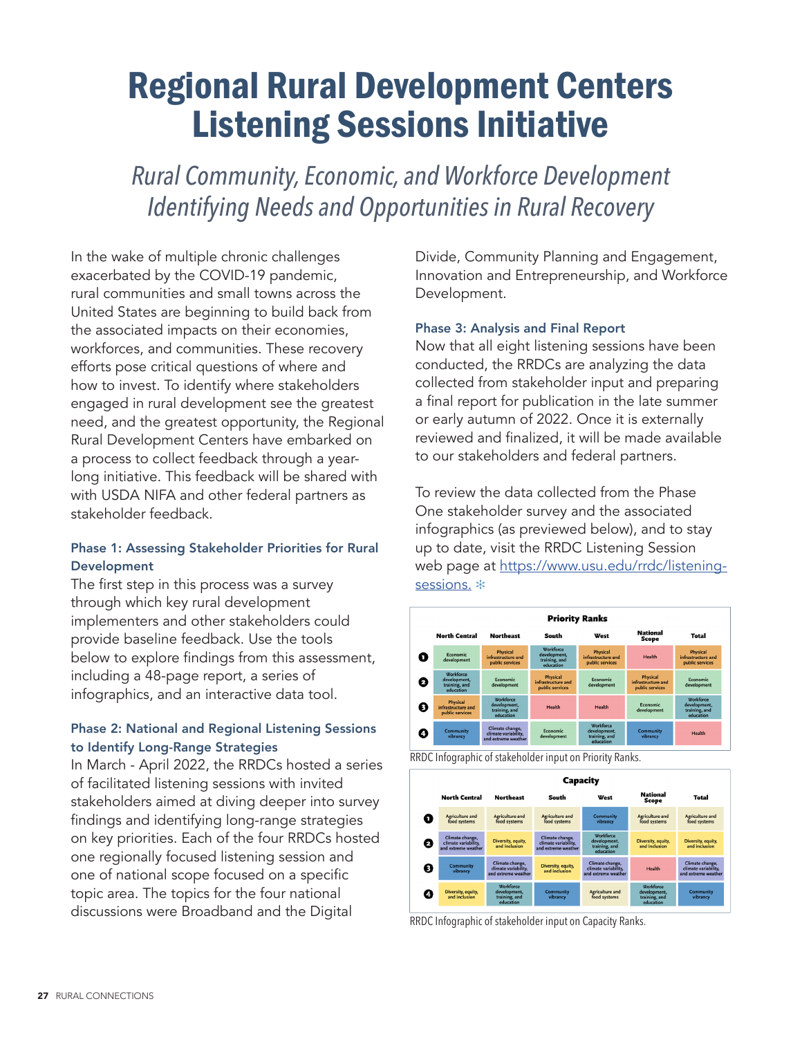## Regional Rural Development Centers Listening Sessions Initiative

*Rural Community, Economic, and Workforce Development Identifying Needs and Opportunities in Rural Recovery*

In the wake of multiple chronic challenges exacerbated by the COVID-19 pandemic, rural communities and small towns across the United States are beginning to build back from the associated impacts on their economies, workforces, and communities. These recovery efforts pose critical questions of where and how to invest. To identify where stakeholders engaged in rural development see the greatest need, and the greatest opportunity, the Regional Rural Development Centers have embarked on a process to collect feedback through a yearlong initiative. This feedback will be shared with with USDA NIFA and other federal partners as stakeholder feedback.

### Phase 1: Assessing Stakeholder Priorities for Rural Development

The first step in this process was a survey through which key rural development implementers and other stakeholders could provide baseline feedback. Use the tools below to explore findings from this assessment, including a 48-page report, a series of infographics, and an interactive data tool.

### Phase 2: National and Regional Listening Sessions to Identify Long-Range Strategies

In March - April 2022, the RRDCs hosted a series of facilitated listening sessions with invited stakeholders aimed at diving deeper into survey findings and identifying long-range strategies on key priorities. Each of the four RRDCs hosted one regionally focused listening session and one of national scope focused on a specific topic area. The topics for the four national discussions were Broadband and the Digital

Divide, Community Planning and Engagement, Innovation and Entrepreneurship, and Workforce Development.

#### Phase 3: Analysis and Final Report

Now that all eight listening sessions have been conducted, the RRDCs are analyzing the data collected from stakeholder input and preparing a final report for publication in the late summer or early autumn of 2022. Once it is externally reviewed and finalized, it will be made available to our stakeholders and federal partners.

To review the data collected from the Phase One stakeholder survey and the associated infographics (as previewed below), and to stay up to date, visit the RRDC Listening Session web page at [https://www.usu.edu/rrdc/listening](https://www.usu.edu/rrdc/listening-sessions)[sessions](https://www.usu.edu/rrdc/listening-sessions). \*







RRDC Infographic of stakeholder input on Capacity Ranks.